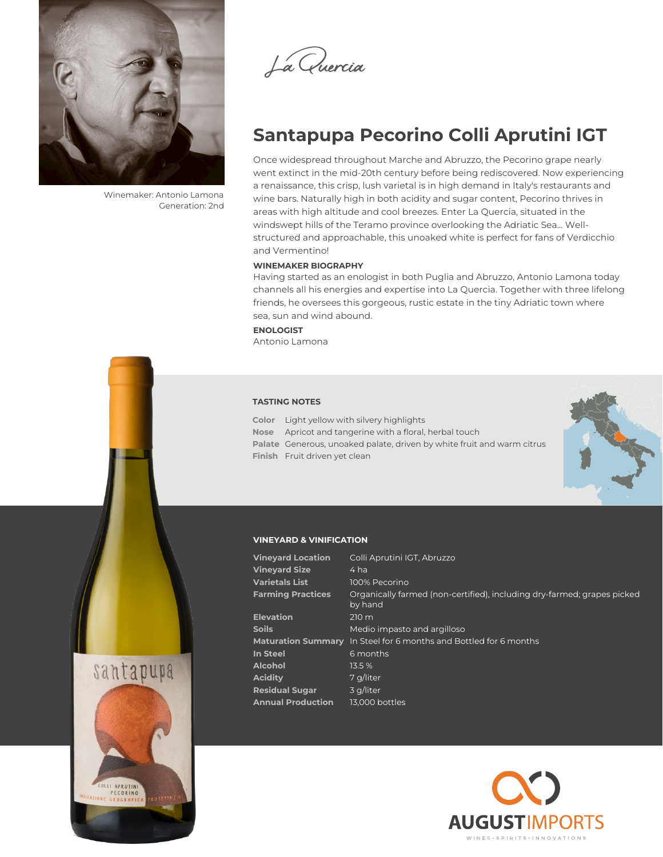

Winemaker: Antonio Lamona Generation: 2nd



# **Santapupa Pecorino Colli Aprutini IGT**

Once widespread throughout Marche and Abruzzo, the Pecorino grape nearly went extinct in the mid-20th century before being rediscovered. Now experiencing a renaissance, this crisp, lush varietal is in high demand in Italy's restaurants and wine bars. Naturally high in both acidity and sugar content, Pecorino thrives in areas with high altitude and cool breezes. Enter La Quercia, situated in the windswept hills of the Teramo province overlooking the Adriatic Sea... Wellstructured and approachable, this unoaked white is perfect for fans of Verdicchio and Vermentino!

### **WINEMAKER BIOGRAPHY**

Having started as an enologist in both Puglia and Abruzzo, Antonio Lamona today channels all his energies and expertise into La Quercia. Together with three lifelong friends, he oversees this gorgeous, rustic estate in the tiny Adriatic town where sea, sun and wind abound.

**ENOLOGIST** Antonio Lamona

#### **TASTING NOTES**

**Color** Light yellow with silvery highlights **Nose** Apricot and tangerine with a floral, herbal touch **Palate** Generous, unoaked palate, driven by white fruit and warm citrus **Finish** Fruit driven yet clean



### **VINEYARD & VINIFICATION**

| <b>Vineyard Location</b> | Colli Aprutini IGT, Abruzzo                                                        |
|--------------------------|------------------------------------------------------------------------------------|
| <b>Vineyard Size</b>     | 4 ha                                                                               |
| <b>Varietals List</b>    | 100% Pecorino                                                                      |
| <b>Farming Practices</b> | Organically farmed (non-certified), including dry-farmed; grapes picked<br>by hand |
| <b>Elevation</b>         | $210 \text{ m}$                                                                    |
| Soils                    | Medio impasto and argilloso                                                        |
|                          | Maturation Summary In Steel for 6 months and Bottled for 6 months                  |
| <b>In Steel</b>          | 6 months                                                                           |
| Alcohol                  | 13.5%                                                                              |
| Acidity                  | 7 g/liter                                                                          |
| <b>Residual Sugar</b>    | 3 g/liter                                                                          |
| <b>Annual Production</b> | 13.000 bottles                                                                     |
|                          |                                                                                    |